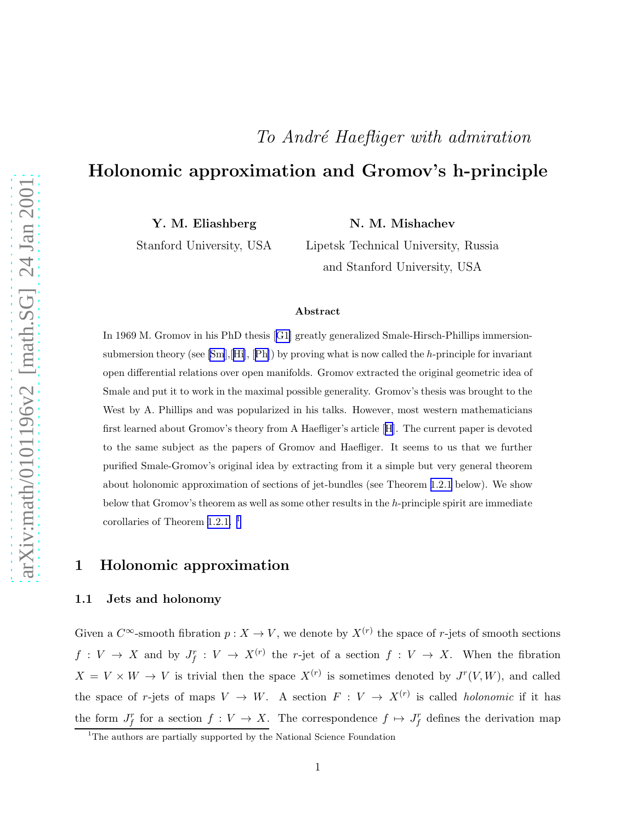# To André Haefliger with admiration

# Holonomic approximation and Gromov's h-principle

Y. M. Eliashberg

N. M. Mishachev

Stanford University, USA

Lipetsk Technical University, Russia and Stanford University, USA

#### Abstract

In 1969 M. Gromov in his PhD thesis[[G1\]](#page-14-0) greatly generalized Smale-Hirsch-Phillips immersionsubmersiontheory (see  $[\text{Sm},\text{[Hi]},\text{[Ph]})$  $[\text{Sm},\text{[Hi]},\text{[Ph]})$  $[\text{Sm},\text{[Hi]},\text{[Ph]})$  $[\text{Sm},\text{[Hi]},\text{[Ph]})$  $[\text{Sm},\text{[Hi]},\text{[Ph]})$  by proving what is now called the h-principle for invariant open differential relations over open manifolds. Gromov extracted the original geometric idea of Smale and put it to work in the maximal possible generality. Gromov's thesis was brought to the West by A. Phillips and was popularized in his talks. However, most western mathematicians first learned about Gromov's theory from A Haefliger's article[[H](#page-14-0)]. The current paper is devoted to the same subject as the papers of Gromov and Haefliger. It seems to us that we further purified Smale-Gromov's original idea by extracting from it a simple but very general theorem about holonomic approximation of sections of jet-bundles (see Theorem [1.2.1](#page-2-0) below). We show below that Gromov's theorem as well as some other results in the h-principle spirit are immediate corollaries of Theorem [1.2.1.](#page-2-0) <sup>1</sup>

### 1 Holonomic approximation

#### 1.1 Jets and holonomy

Given a  $C^{\infty}$ -smooth fibration  $p: X \to V$ , we denote by  $X^{(r)}$  the space of r-jets of smooth sections  $f: V \to X$  and by  $J_f^r: V \to X^{(r)}$  the r-jet of a section  $f: V \to X$ . When the fibration  $X = V \times W \to V$  is trivial then the space  $X^{(r)}$  is sometimes denoted by  $J^{r}(V, W)$ , and called the space of r-jets of maps  $V \to W$ . A section  $F: V \to X^{(r)}$  is called *holonomic* if it has the form  $J_f^r$  for a section  $f: V \to X$ . The correspondence  $f \mapsto J_f^r$  defines the derivation map

<sup>&</sup>lt;sup>1</sup>The authors are partially supported by the National Science Foundation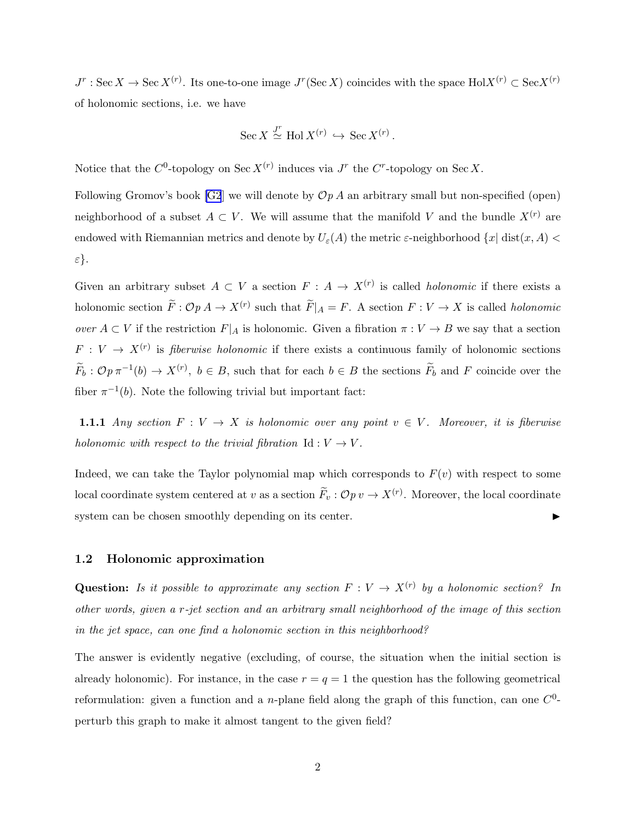<span id="page-1-0"></span> $J^r$ : Sec  $X \to \text{Sec } X^{(r)}$ . Its one-to-one image  $J^r(\text{Sec } X)$  coincides with the space  $\text{Hol}X^{(r)} \subset \text{Sec } X^{(r)}$ of holonomic sections, i.e. we have

$$
Sec X \stackrel{J^r}{\simeq} Hol X^{(r)} \hookrightarrow Sec X^{(r)}.
$$

Notice that the  $C^0$ -topology on Sec  $X^{(r)}$  induces via  $J^r$  the  $C^r$ -topology on Sec X.

Following Gromov's book [\[G2](#page-14-0)] we will denote by  $\mathcal{O}p A$  an arbitrary small but non-specified (open) neighborhood of a subset  $A \subset V$ . We will assume that the manifold V and the bundle  $X^{(r)}$  are endowed with Riemannian metrics and denote by  $U_{\varepsilon}(A)$  the metric  $\varepsilon$ -neighborhood  $\{x|$  dist $(x, A)$  < ε}.

Given an arbitrary subset  $A \subset V$  a section  $F : A \to X^{(r)}$  is called *holonomic* if there exists a holonomic section  $\tilde{F}: \mathcal{O}p A \to X^{(r)}$  such that  $\tilde{F}|_A = F$ . A section  $F: V \to X$  is called *holonomic* over  $A \subset V$  if the restriction  $F|_A$  is holonomic. Given a fibration  $\pi : V \to B$  we say that a section  $F: V \to X^{(r)}$  is *fiberwise holonomic* if there exists a continuous family of holonomic sections  $\widetilde{F}_b: \mathcal{O}p\,\pi^{-1}(b) \to X^{(r)},\ b \in B$ , such that for each  $b \in B$  the sections  $\widetilde{F}_b$  and F coincide over the fiber  $\pi^{-1}(b)$ . Note the following trivial but important fact:

1.1.1 Any section  $F: V \to X$  is holonomic over any point  $v \in V$ . Moreover, it is fiberwise holonomic with respect to the trivial fibration  $Id: V \to V$ .

Indeed, we can take the Taylor polynomial map which corresponds to  $F(v)$  with respect to some local coordinate system centered at v as a section  $\tilde{F}_v : \mathcal{O}p v \to X^{(r)}$ . Moreover, the local coordinate system can be chosen smoothly depending on its center.  $\blacktriangleright$ 

#### 1.2 Holonomic approximation

**Question:** Is it possible to approximate any section  $F: V \to X^{(r)}$  by a holonomic section? In other words, given a r-jet section and an arbitrary small neighborhood of the image of this section in the jet space, can one find a holonomic section in this neighborhood?

The answer is evidently negative (excluding, of course, the situation when the initial section is already holonomic). For instance, in the case  $r = q = 1$  the question has the following geometrical reformulation: given a function and a *n*-plane field along the graph of this function, can one  $C^0$ perturb this graph to make it almost tangent to the given field?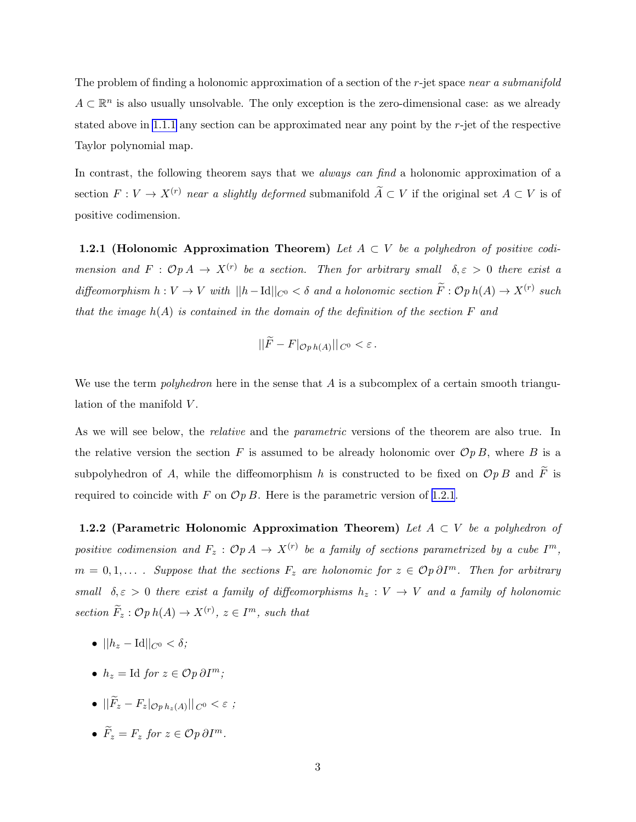<span id="page-2-0"></span>The problem of finding a holonomic approximation of a section of the r-jet space near a submanifold  $A \subset \mathbb{R}^n$  is also usually unsolvable. The only exception is the zero-dimensional case: as we already stated above in [1.1.1](#page-1-0) any section can be approximated near any point by the r-jet of the respective Taylor polynomial map.

In contrast, the following theorem says that we *always can find* a holonomic approximation of a section  $F: V \to X^{(r)}$  near a slightly deformed submanifold  $\widetilde{A} \subset V$  if the original set  $A \subset V$  is of positive codimension.

1.2.1 (Holonomic Approximation Theorem) Let  $A \subset V$  be a polyhedron of positive codimension and  $F: \mathcal{O}p A \to X^{(r)}$  be a section. Then for arbitrary small  $\delta, \varepsilon > 0$  there exist a diffeomorphism  $h: V \to V$  with  $||h-\text{Id}||_{C^0} < \delta$  and a holonomic section  $\widetilde{F}: \mathcal{O}p h(A) \to X^{(r)}$  such that the image  $h(A)$  is contained in the domain of the definition of the section  $F$  and

$$
\|\widetilde{F} - F|_{\mathcal{O}ph(A)}\|_{C^0} < \varepsilon.
$$

We use the term *polyhedron* here in the sense that  $\vec{A}$  is a subcomplex of a certain smooth triangulation of the manifold  $V$ .

As we will see below, the *relative* and the *parametric* versions of the theorem are also true. In the relative version the section F is assumed to be already holonomic over  $\mathcal{O}pB$ , where B is a subpolyhedron of A, while the diffeomorphism h is constructed to be fixed on  $\mathcal{O}p B$  and  $\widetilde{F}$  is required to coincide with F on  $\mathcal{O}p$  B. Here is the parametric version of 1.2.1.

1.2.2 (Parametric Holonomic Approximation Theorem) Let  $A \subset V$  be a polyhedron of positive codimension and  $F_z$  :  $\mathcal{O}p A \rightarrow X^{(r)}$  be a family of sections parametrized by a cube  $I^m$ ,  $m = 0, 1, \ldots$ . Suppose that the sections  $F_z$  are holonomic for  $z \in \mathcal{O}p \partial I^m$ . Then for arbitrary small  $\delta, \varepsilon > 0$  there exist a family of diffeomorphisms  $h_z : V \to V$  and a family of holonomic section  $\widetilde{F}_z : \mathcal{O}p \ h(A) \to X^{(r)}, \ z \in I^m$ , such that

- $||h_z \text{Id}||_{C^0} < \delta;$
- $h_z = \text{Id}$  for  $z \in \mathcal{O}p \partial I^m$ ;
- $\bullet$   $||F_z F_z|_{\mathcal{O}p\,h_z(A)}||_{C^0} < \varepsilon$ ;
- $\widetilde{F}_z = F_z$  for  $z \in \mathcal{O}p \, \partial I^m$ .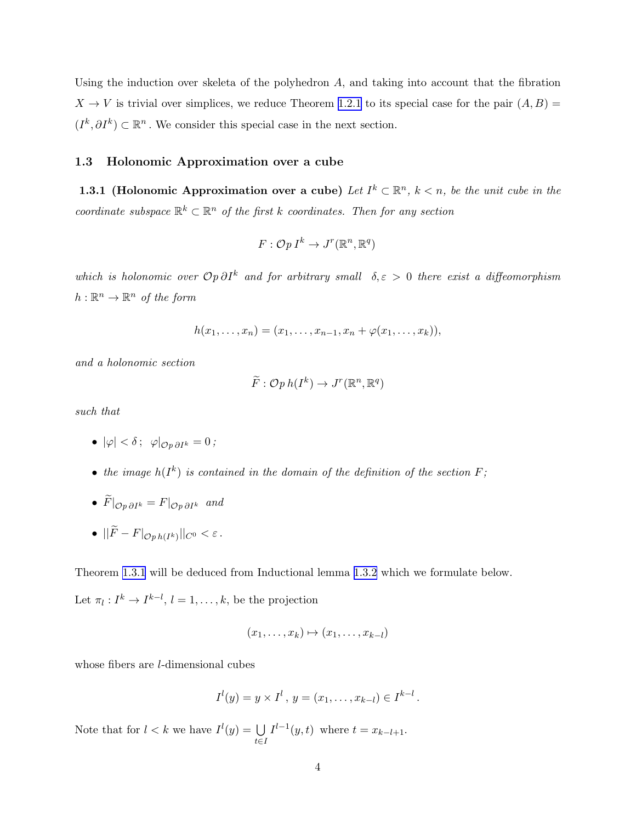<span id="page-3-0"></span>Using the induction over skeleta of the polyhedron  $A$ , and taking into account that the fibration  $X \to V$  is trivial over simplices, we reduce Theorem [1.2.1](#page-2-0) to its special case for the pair  $(A, B)$  =  $(I^k, \partial I^k) \subset \mathbb{R}^n$ . We consider this special case in the next section.

#### 1.3 Holonomic Approximation over a cube

**1.3.1** (Holonomic Approximation over a cube) Let  $I^k \subset \mathbb{R}^n$ ,  $k < n$ , be the unit cube in the coordinate subspace  $\mathbb{R}^k \subset \mathbb{R}^n$  of the first k coordinates. Then for any section

$$
F: \mathcal{O}p I^k \to J^r(\mathbb{R}^n, \mathbb{R}^q)
$$

which is holonomic over  $\mathcal{O}p \partial I^k$  and for arbitrary small  $\delta, \varepsilon > 0$  there exist a diffeomorphism  $h: \mathbb{R}^n \to \mathbb{R}^n$  of the form

$$
h(x_1,...,x_n) = (x_1,...,x_{n-1},x_n + \varphi(x_1,...,x_k)),
$$

and a holonomic section

$$
\widetilde{F}: \mathcal{O}p\,h(I^k) \to J^r(\mathbb{R}^n, \mathbb{R}^q)
$$

such that

- $|\varphi| < \delta$ ;  $\varphi|_{\mathcal{O} n \partial I^k} = 0$ ;
- the image  $h(I^k)$  is contained in the domain of the definition of the section  $F$ ;
- $\widetilde{F}|_{\mathcal{O} p \partial I^k} = F|_{\mathcal{O} p \partial I^k}$  and
- $\bullet$   $||F-F|_{\mathcal{O}p\,h(I^k)}||_{C^0} < \varepsilon$ .

Theorem 1.3.1 will be deduced from Inductional lemma 1.3.2 which we formulate below.

Let  $\pi_l: I^k \to I^{k-l}, l = 1, \ldots, k$ , be the projection

$$
(x_1,\ldots,x_k)\mapsto (x_1,\ldots,x_{k-l})
$$

whose fibers are *l*-dimensional cubes

$$
I^{l}(y) = y \times I^{l}, y = (x_{1}, \ldots, x_{k-l}) \in I^{k-l}.
$$

Note that for  $l < k$  we have  $I^l(y) = \bigcup$ t∈I  $I^{l-1}(y, t)$  where  $t = x_{k-l+1}$ .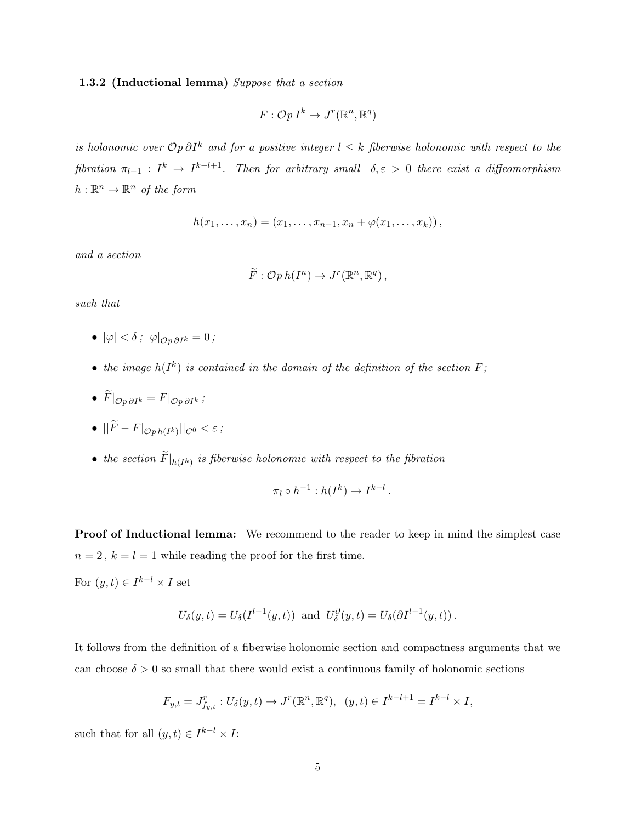#### 1.3.2 (Inductional lemma) Suppose that a section

$$
F: \mathcal{O}p I^k \to J^r(\mathbb{R}^n, \mathbb{R}^q)
$$

is holonomic over  $\mathcal{O} p \partial I^k$  and for a positive integer  $l \leq k$  fiberwise holonomic with respect to the fibration  $\pi_{l-1} : I^k \to I^{k-l+1}$ . Then for arbitrary small  $\delta, \varepsilon > 0$  there exist a diffeomorphism  $h: \mathbb{R}^n \to \mathbb{R}^n$  of the form

$$
h(x_1,...,x_n) = (x_1,...,x_{n-1},x_n + \varphi(x_1,...,x_k)),
$$

and a section

$$
\widetilde{F}: \mathcal{O}p\,h(I^n) \to J^r(\mathbb{R}^n, \mathbb{R}^q) ,
$$

such that

- $|\varphi| < \delta$ ;  $\varphi|_{\mathcal{O}_n \partial I^k} = 0$ ;
- the image  $h(I^k)$  is contained in the domain of the definition of the section  $F$ ;
- $\widetilde{F}|_{\mathcal{O}p \,\partial I^k} = F|_{\mathcal{O}p \,\partial I^k}$ ;

$$
\bullet \quad ||F - F|_{\mathcal{O}ph(I^k)}||_{C^0} < \varepsilon \, ;
$$

• the section  $F|_{h(I^k)}$  is fiberwise holonomic with respect to the fibration

$$
\pi_l \circ h^{-1}: h(I^k) \to I^{k-l}.
$$

Proof of Inductional lemma: We recommend to the reader to keep in mind the simplest case  $n = 2$ ,  $k = l = 1$  while reading the proof for the first time.

For  $(y,t) \in I^{k-l} \times I$  set

$$
U_{\delta}(y,t) = U_{\delta}(I^{l-1}(y,t)) \text{ and } U_{\delta}^{\partial}(y,t) = U_{\delta}(\partial I^{l-1}(y,t)).
$$

It follows from the definition of a fiberwise holonomic section and compactness arguments that we can choose  $\delta > 0$  so small that there would exist a continuous family of holonomic sections

$$
F_{y,t} = J_{f_{y,t}}^r : U_{\delta}(y,t) \to J^r(\mathbb{R}^n, \mathbb{R}^q), \ \ (y,t) \in I^{k-l+1} = I^{k-l} \times I,
$$

such that for all  $(y, t) \in I^{k-l} \times I$ :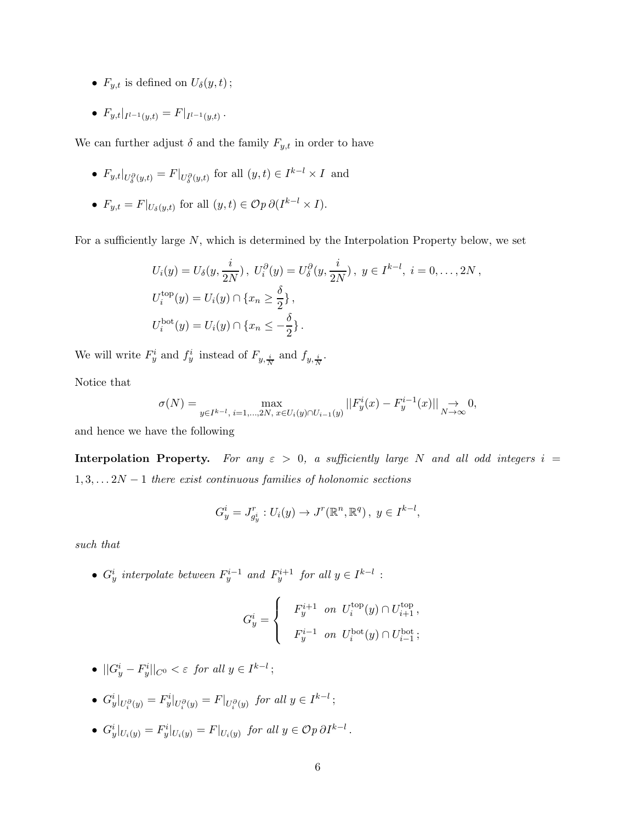- $F_{y,t}$  is defined on  $U_{\delta}(y,t)$ ;
- $F_{y,t}|_{I^{l-1}(y,t)} = F|_{I^{l-1}(y,t)}$ .

We can further adjust  $\delta$  and the family  $F_{y,t}$  in order to have

- $F_{y,t}|_{U^{\partial}_\delta(y,t)} = F|_{U^{\partial}_\delta(y,t)}$  for all  $(y,t) \in I^{k-l} \times I$  and
- $F_{y,t} = F|_{U_\delta(y,t)}$  for all  $(y,t) \in \mathcal{O}p \partial (I^{k-l} \times I)$ .

For a sufficiently large  $N$ , which is determined by the Interpolation Property below, we set

$$
U_i(y) = U_{\delta}(y, \frac{i}{2N}), \ U_i^{\partial}(y) = U_{\delta}^{\partial}(y, \frac{i}{2N}), \ y \in I^{k-l}, \ i = 0, ..., 2N,
$$
  

$$
U_i^{\text{top}}(y) = U_i(y) \cap \{x_n \ge \frac{\delta}{2}\},
$$
  

$$
U_i^{\text{bot}}(y) = U_i(y) \cap \{x_n \le -\frac{\delta}{2}\}.
$$

We will write  $F_y^i$  and  $f_y^i$  instead of  $F_{y, \frac{i}{N}}$  and  $f_{y, \frac{i}{N}}$ .

Notice that

$$
\sigma(N) = \max_{y \in I^{k-l}, i=1,\dots,2N, x \in U_i(y) \cap U_{i-1}(y)} ||F_y^i(x) - F_y^{i-1}(x)||_{N \to \infty} 0,
$$

and hence we have the following

Interpolation Property. For any  $\varepsilon > 0$ , a sufficiently large N and all odd integers  $i =$  $1, 3, \ldots 2N - 1$  there exist continuous families of holonomic sections

$$
G_y^i = J_{g_y^i}^r : U_i(y) \to J^r(\mathbb{R}^n, \mathbb{R}^q), y \in I^{k-l},
$$

such that

•  $G_y^i$  interpolate between  $F_y^{i-1}$  and  $F_y^{i+1}$  for all  $y \in I^{k-l}$ :

$$
G_y^i = \begin{cases} & F_y^{i+1} ~~on ~~ U_i^{top}(y) \cap U_{i+1}^{top} \,, \\ & F_y^{i-1} ~~on ~~ U_i^{bot}(y) \cap U_{i-1}^{bot} \,; \end{cases}
$$

- $||G_y^i F_y^i||_{C^0} < \varepsilon$  for all  $y \in I^{k-l}$ ;
- $G_y^i|_{U_i^{\partial}(y)} = F_y^i|_{U_i^{\partial}(y)} = F|_{U_i^{\partial}(y)}$  for all  $y \in I^{k-l}$ ;
- $G_y^i|_{U_i(y)} = F_y^i|_{U_i(y)} = F|_{U_i(y)}$  for all  $y \in \mathcal{O}p \, \partial I^{k-l}$ .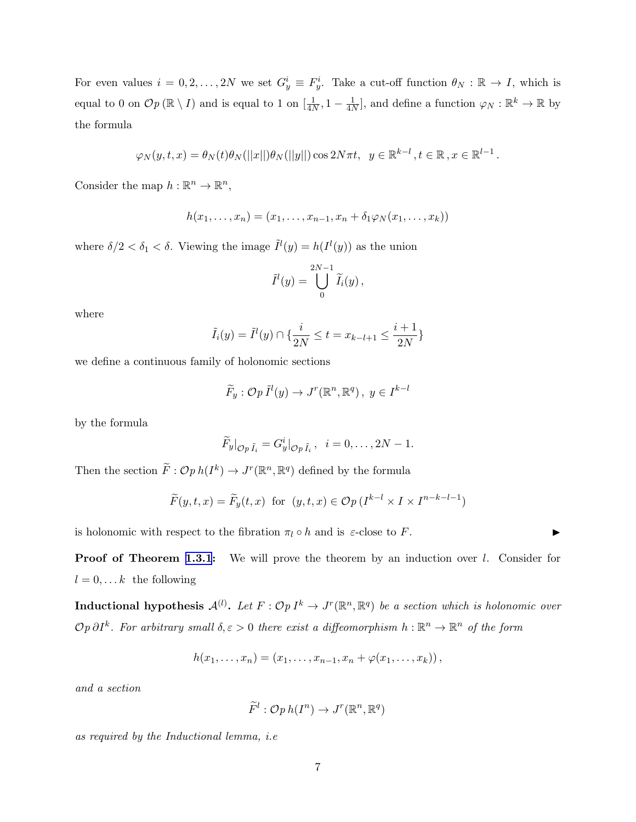For even values  $i = 0, 2, ..., 2N$  we set  $G_y^i \equiv F_y^i$ . Take a cut-off function  $\theta_N : \mathbb{R} \to I$ , which is equal to 0 on  $\mathcal{O}p(\mathbb{R}\setminus I)$  and is equal to 1 on  $\left[\frac{1}{4N},1-\frac{1}{4N}\right]$ , and define a function  $\varphi_N:\mathbb{R}^k\to\mathbb{R}$  by the formula

$$
\varphi_N(y,t,x)=\theta_N(t)\theta_N(||x||)\theta_N(||y||)\cos 2N\pi t, \ \ y\in\mathbb{R}^{k-l}, t\in\mathbb{R}, x\in\mathbb{R}^{l-1}.
$$

Consider the map  $h: \mathbb{R}^n \to \mathbb{R}^n$ ,

$$
h(x_1,\ldots,x_n)=(x_1,\ldots,x_{n-1},x_n+\delta_1\varphi_N(x_1,\ldots,x_k))
$$

where  $\delta/2 < \delta_1 < \delta$ . Viewing the image  $\tilde{I}^l(y) = h(I^l(y))$  as the union

$$
\tilde{I}^l(y) = \bigcup_{0}^{2N-1} \tilde{I}_i(y),
$$

where

$$
\tilde{I}_i(y) = \tilde{I}^l(y) \cap \{\frac{i}{2N} \le t = x_{k-l+1} \le \frac{i+1}{2N}\}\
$$

we define a continuous family of holonomic sections

$$
\widetilde{F}_y: \mathcal{O}p\,\widetilde{I}^l(y) \to J^r(\mathbb{R}^n, \mathbb{R}^q), \ y \in I^{k-l}
$$

by the formula

$$
\widetilde{F}_y|_{\mathcal{O}p\,\tilde{I}_i}=G^i_y|_{\mathcal{O}p\,\tilde{I}_i},\ \ i=0,\ldots,2N-1.
$$

Then the section  $\widetilde{F}: \mathcal{O}p\ h(I^k) \to J^r(\mathbb{R}^n, \mathbb{R}^q)$  defined by the formula

$$
\widetilde{F}(y,t,x) = \widetilde{F}_y(t,x)
$$
 for  $(y,t,x) \in \mathcal{O}_p(I^{k-l} \times I \times I^{n-k-l-1})$ 

is holonomic with respect to the fibration  $\pi_l \circ h$  and is  $\varepsilon$ -close to F.

**Proof of Theorem [1.3.1](#page-3-0):** We will prove the theorem by an induction over l. Consider for  $l = 0, \ldots k$  the following

Inductional hypothesis  $\mathcal{A}^{(l)}$ . Let  $F: \mathcal{O}pI^k \to J^r(\mathbb{R}^n, \mathbb{R}^q)$  be a section which is holonomic over  $\mathcal{O}p\,\partial I^k$ . For arbitrary small  $\delta,\varepsilon>0$  there exist a diffeomorphism  $h:\mathbb{R}^n\to\mathbb{R}^n$  of the form

$$
h(x_1,...,x_n) = (x_1,...,x_{n-1},x_n + \varphi(x_1,...,x_k)),
$$

and a section

$$
\widetilde{F}^l: \mathcal{O}p\,h(I^n) \to J^r(\mathbb{R}^n, \mathbb{R}^q)
$$

as required by the Inductional lemma, i.e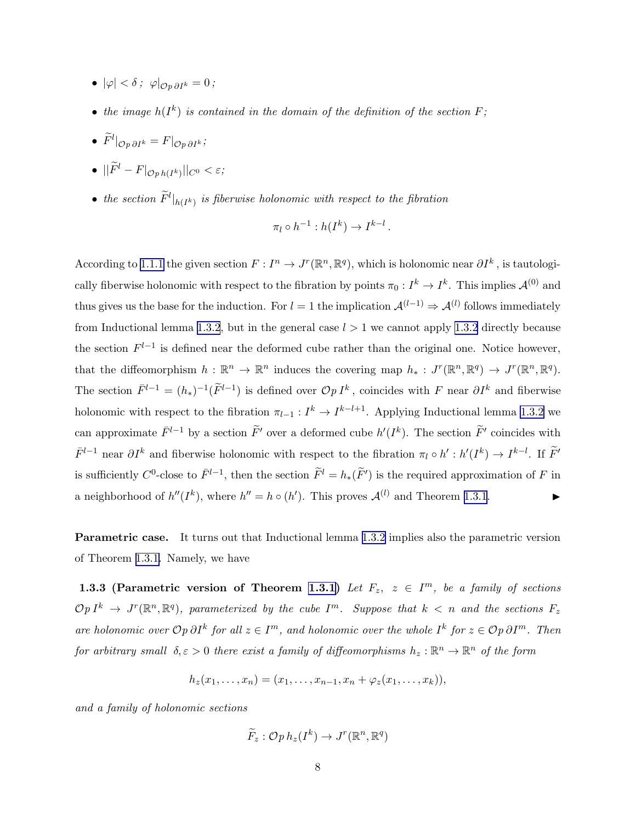- <span id="page-7-0"></span>•  $|\varphi| < \delta$ ;  $\varphi|_{\mathcal{O}_n \partial I^k} = 0$ ;
- the image  $h(I^k)$  is contained in the domain of the definition of the section  $F$ ;
- $\tilde{F}^l|_{\mathcal{O}p\,\partial I^k}=F|_{\mathcal{O}p\,\partial I^k};$
- $\bullet$   $||\widetilde{F}^l F|_{\mathcal{O}ph(I^k)}||_{C^0} < \varepsilon$ ;
- the section  $\tilde{F}^l|_{h(I^k)}$  is fiberwise holonomic with respect to the fibration

$$
\pi_l \circ h^{-1}: h(I^k) \to I^{k-l}.
$$

According to [1.1.1](#page-1-0) the given section  $F: I^n \to J^r(\mathbb{R}^n, \mathbb{R}^q)$ , which is holonomic near  $\partial I^k$ , is tautologically fiberwise holonomic with respect to the fibration by points  $\pi_0: I^k \to I^k$ . This implies  $\mathcal{A}^{(0)}$  and thus gives us the base for the induction. For  $l = 1$  the implication  $\mathcal{A}^{(l-1)} \Rightarrow \mathcal{A}^{(l)}$  follows immediately from Inductional lemma [1.3.2](#page-3-0), but in the general case  $l > 1$  we cannot apply 1.3.2 directly because the section  $F^{l-1}$  is defined near the deformed cube rather than the original one. Notice however, that the diffeomorphism  $h : \mathbb{R}^n \to \mathbb{R}^n$  induces the covering map  $h_* : J^r(\mathbb{R}^n, \mathbb{R}^q) \to J^r(\mathbb{R}^n, \mathbb{R}^q)$ . The section  $\bar{F}^{l-1} = (h_*)^{-1}(\tilde{F}^{l-1})$  is defined over  $\mathcal{O}p I^k$ , coincides with F near  $\partial I^k$  and fiberwise holonomic with respect to the fibration  $\pi_{l-1}: I^k \to I^{k-l+1}$ . Applying Inductional lemma [1.3.2](#page-3-0) we can approximate  $\bar{F}^{l-1}$  by a section  $\tilde{F}'$  over a deformed cube  $h'(I^k)$ . The section  $\tilde{F}'$  coincides with  $\bar{F}^{l-1}$  near  $\partial I^k$  and fiberwise holonomic with respect to the fibration  $\pi_l \circ h' : h'(I^k) \to I^{k-l}$ . If  $\tilde{F}'$ is sufficiently  $C^0$ -close to  $\bar{F}^{l-1}$ , then the section  $\tilde{F}^l = h_*(\tilde{F}')$  is the required approximation of F in a neighborhood of  $h''(I^k)$ , where  $h'' = h \circ (h')$ . This proves  $\mathcal{A}^{(l)}$  and Theorem [1.3.1](#page-3-0).

Parametric case. It turns out that Inductional lemma [1.3.2](#page-3-0) implies also the parametric version of Theorem [1.3.1.](#page-3-0) Namely, we have

1.3.3 (Parametric version of Theorem [1.3.1](#page-3-0)) Let  $F_z$ ,  $z \in I^m$ , be a family of sections  $\mathcal{O}pI^k \to J^r(\mathbb{R}^n,\mathbb{R}^q)$ , parameterized by the cube  $I^m$ . Suppose that  $k < n$  and the sections  $F_z$ are holonomic over  $\mathcal{O}p \partial I^k$  for all  $z \in I^m$ , and holonomic over the whole  $I^k$  for  $z \in \mathcal{O}p \partial I^m$ . Then for arbitrary small  $\delta, \varepsilon > 0$  there exist a family of diffeomorphisms  $h_z : \mathbb{R}^n \to \mathbb{R}^n$  of the form

$$
h_z(x_1,...,x_n)=(x_1,...,x_{n-1},x_n+\varphi_z(x_1,...,x_k)),
$$

and a family of holonomic sections

$$
\widetilde{F}_z : \mathcal{O}p \, h_z(I^k) \to J^r(\mathbb{R}^n, \mathbb{R}^q)
$$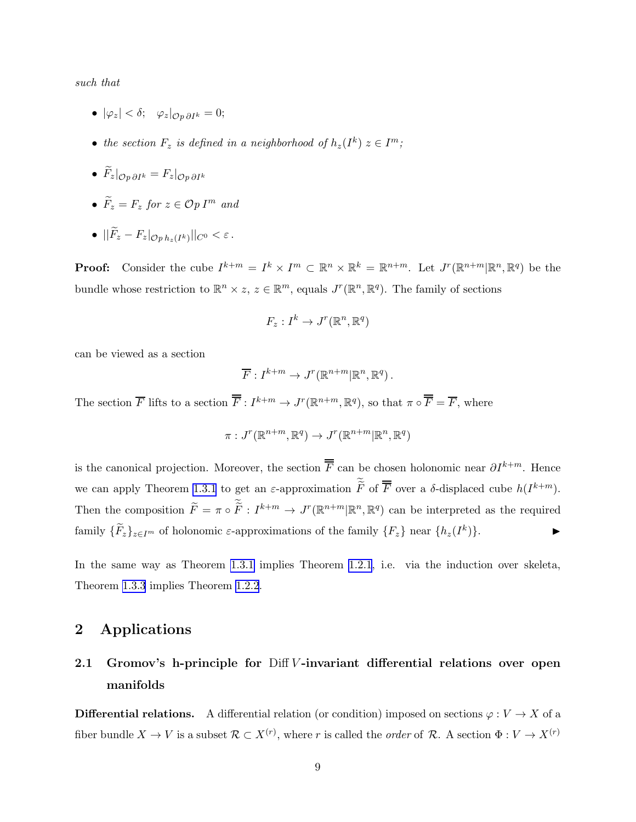such that

- $|\varphi_z| < \delta; \quad \varphi_z|_{\mathcal{O} \cap \partial I^k} = 0;$
- the section  $F_z$  is defined in a neighborhood of  $h_z(I^k) \, z \in I^m$ ;
- $\widetilde{F}_z|_{\mathcal{O}_n \partial I^k} = F_z|_{\mathcal{O}_n \partial I^k}$
- $\widetilde{F}_z = F_z$  for  $z \in \mathcal{O}p I^m$  and
- $\bullet$   $||F_z F_z|_{\mathcal{O}p\,h_z(I^k)}||_{C^0} < \varepsilon$ .

**Proof:** Consider the cube  $I^{k+m} = I^k \times I^m \subset \mathbb{R}^n \times \mathbb{R}^k = \mathbb{R}^{n+m}$ . Let  $J^r(\mathbb{R}^{n+m} | \mathbb{R}^n, \mathbb{R}^q)$  be the bundle whose restriction to  $\mathbb{R}^n \times z$ ,  $z \in \mathbb{R}^m$ , equals  $J^r(\mathbb{R}^n, \mathbb{R}^q)$ . The family of sections

$$
F_z: I^k \to J^r(\mathbb{R}^n,\mathbb{R}^q)
$$

can be viewed as a section

$$
\overline{F}: I^{k+m} \to J^r(\mathbb{R}^{n+m} | \mathbb{R}^n, \mathbb{R}^q).
$$

The section  $\overline{F}$  lifts to a section  $\overline{\overline{F}}: I^{k+m} \to J^{r}(\mathbb{R}^{n+m}, \mathbb{R}^{q})$ , so that  $\pi \circ \overline{\overline{F}} = \overline{F}$ , where

$$
\pi: J^r(\mathbb{R}^{n+m}, \mathbb{R}^q) \to J^r(\mathbb{R}^{n+m} | \mathbb{R}^n, \mathbb{R}^q)
$$

is the canonical projection. Moreover, the section  $\overline{\overline{F}}$  can be chosen holonomic near  $\partial I^{k+m}$ . Hence we can apply Theorem [1.3.1](#page-3-0) to get an  $\varepsilon$ -approximation  $\widetilde{F}$  of  $\overline{F}$  over a  $\delta$ -displaced cube  $h(I^{k+m})$ . Then the composition  $\widetilde{F} = \pi \circ \widetilde{F} : I^{k+m} \to J^r(\mathbb{R}^{n+m} | \mathbb{R}^n, \mathbb{R}^q)$  can be interpreted as the required family  $\{\widetilde{F}_z\}_{z\in I^m}$  of holonomic  $\varepsilon$ -approximations of the family  $\{F_z\}$  near  $\{h_z(I^k)\}\$ .

In the same way as Theorem [1.3.1](#page-3-0) implies Theorem [1.2.1](#page-2-0), i.e. via the induction over skeleta, Theorem [1.3.3](#page-7-0) implies Theorem [1.2.2](#page-2-0).

### 2 Applications

## 2.1 Gromov's h-principle for  $Diff V$ -invariant differential relations over open manifolds

**Differential relations.** A differential relation (or condition) imposed on sections  $\varphi: V \to X$  of a fiber bundle  $X \to V$  is a subset  $\mathcal{R} \subset X^{(r)}$ , where r is called the *order* of  $\mathcal{R}$ . A section  $\Phi: V \to X^{(r)}$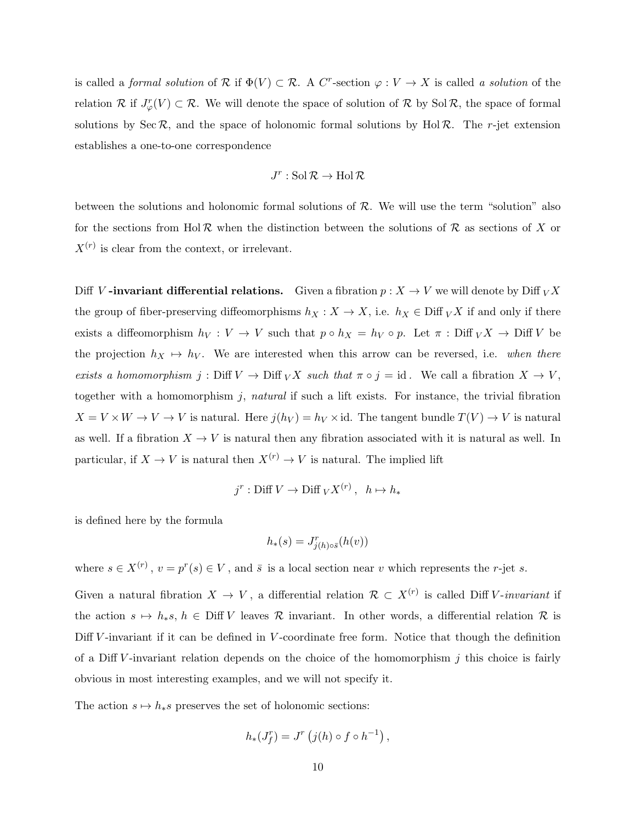is called a *formal solution* of  $\mathcal R$  if  $\Phi(V) \subset \mathcal R$ . A C<sup>r</sup>-section  $\varphi: V \to X$  is called a *solution* of the relation R if  $J_{\varphi}^r(V) \subset \mathcal{R}$ . We will denote the space of solution of R by Sol R, the space of formal solutions by Sec R, and the space of holonomic formal solutions by Hol R. The r-jet extension establishes a one-to-one correspondence

$$
J^r:\mathop{\rm Sol}\nolimits{\mathcal R}\to\mathop{\rm Hol}\nolimits{\mathcal R}
$$

between the solutions and holonomic formal solutions of  $R$ . We will use the term "solution" also for the sections from Hol  $\mathcal R$  when the distinction between the solutions of  $\mathcal R$  as sections of X or  $X^{(r)}$  is clear from the context, or irrelevant.

Diff V-invariant differential relations. Given a fibration  $p : X \to V$  we will denote by Diff  $\overline{V}X$ the group of fiber-preserving diffeomorphisms  $h_X : X \to X$ , i.e.  $h_X \in \text{Diff }_V X$  if and only if there exists a diffeomorphism  $h_V: V \to V$  such that  $p \circ h_X = h_V \circ p$ . Let  $\pi: \text{Diff }_V X \to \text{Diff } V$  be the projection  $h_X \mapsto h_V$ . We are interested when this arrow can be reversed, i.e. when there exists a homomorphism j: Diff  $V \to \text{Diff}_V X$  such that  $\pi \circ j = id$ . We call a fibration  $X \to V$ , together with a homomorphism j, natural if such a lift exists. For instance, the trivial fibration  $X = V \times W \to V \to V$  is natural. Here  $j(h_V) = h_V \times id$ . The tangent bundle  $T(V) \to V$  is natural as well. If a fibration  $X \to V$  is natural then any fibration associated with it is natural as well. In particular, if  $X \to V$  is natural then  $X^{(r)} \to V$  is natural. The implied lift

$$
j^r : \text{Diff } V \to \text{Diff } _V X^{(r)} \,, \ \ h \mapsto h_*
$$

is defined here by the formula

$$
h_*(s) = J^r_{j(h)\circ\bar{s}}(h(v))
$$

where  $s \in X^{(r)}$ ,  $v = p^r(s) \in V$ , and  $\bar{s}$  is a local section near v which represents the r-jet s.

Given a natural fibration  $X \to V$ , a differential relation  $\mathcal{R} \subset X^{(r)}$  is called Diff V-invariant if the action  $s \mapsto h_*s$ ,  $h \in \text{Diff } V$  leaves R invariant. In other words, a differential relation R is Diff V-invariant if it can be defined in V-coordinate free form. Notice that though the definition of a Diff V-invariant relation depends on the choice of the homomorphism  $j$  this choice is fairly obvious in most interesting examples, and we will not specify it.

The action  $s \mapsto h_*s$  preserves the set of holonomic sections:

$$
h_*(J_f^r) = J^r\left(j(h) \circ f \circ h^{-1}\right),
$$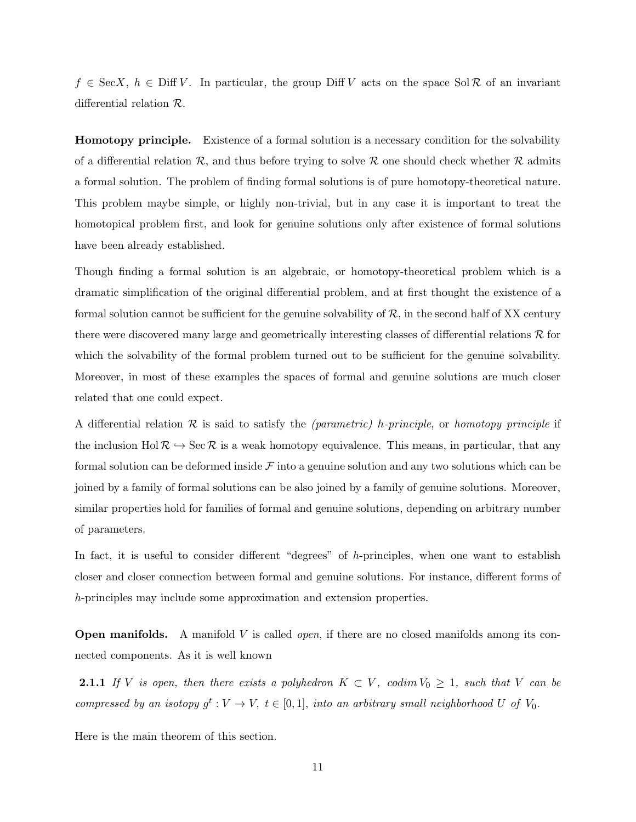<span id="page-10-0"></span> $f \in \text{SecX}, h \in \text{Diff } V$ . In particular, the group Diff V acts on the space Sol R of an invariant differential relation R.

Homotopy principle. Existence of a formal solution is a necessary condition for the solvability of a differential relation R, and thus before trying to solve R one should check whether R admits a formal solution. The problem of finding formal solutions is of pure homotopy-theoretical nature. This problem maybe simple, or highly non-trivial, but in any case it is important to treat the homotopical problem first, and look for genuine solutions only after existence of formal solutions have been already established.

Though finding a formal solution is an algebraic, or homotopy-theoretical problem which is a dramatic simplification of the original differential problem, and at first thought the existence of a formal solution cannot be sufficient for the genuine solvability of  $R$ , in the second half of XX century there were discovered many large and geometrically interesting classes of differential relations  $\mathcal R$  for which the solvability of the formal problem turned out to be sufficient for the genuine solvability. Moreover, in most of these examples the spaces of formal and genuine solutions are much closer related that one could expect.

A differential relation  $\mathcal R$  is said to satisfy the *(parametric)* h-principle, or homotopy principle if the inclusion Hol  $\mathcal{R} \hookrightarrow \text{Sec } \mathcal{R}$  is a weak homotopy equivalence. This means, in particular, that any formal solution can be deformed inside  $\mathcal F$  into a genuine solution and any two solutions which can be joined by a family of formal solutions can be also joined by a family of genuine solutions. Moreover, similar properties hold for families of formal and genuine solutions, depending on arbitrary number of parameters.

In fact, it is useful to consider different "degrees" of h-principles, when one want to establish closer and closer connection between formal and genuine solutions. For instance, different forms of h-principles may include some approximation and extension properties.

**Open manifolds.** A manifold V is called *open*, if there are no closed manifolds among its connected components. As it is well known

**2.1.1** If V is open, then there exists a polyhedron  $K \subset V$ , codim  $V_0 \geq 1$ , such that V can be compressed by an isotopy  $g^t: V \to V$ ,  $t \in [0,1]$ , into an arbitrary small neighborhood U of  $V_0$ .

Here is the main theorem of this section.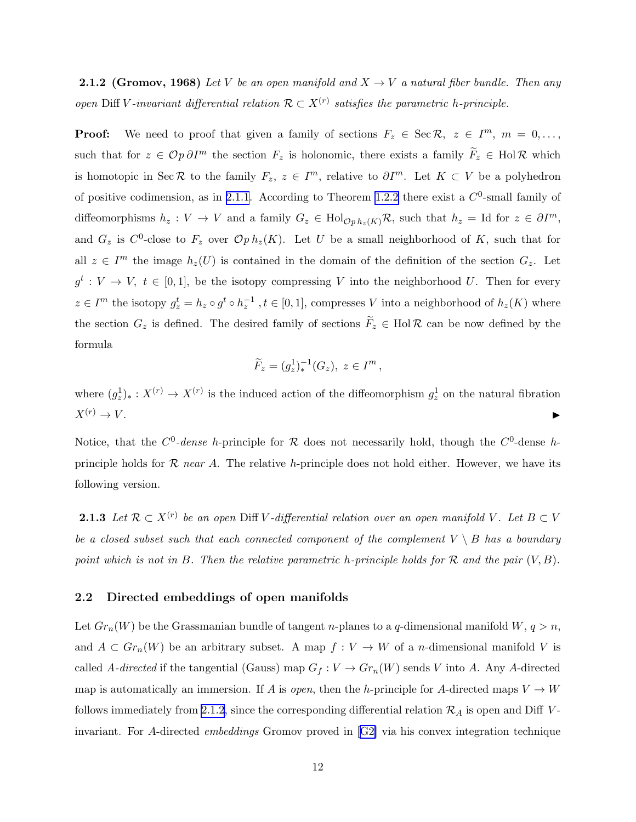**2.1.2 (Gromov, 1968)** Let V be an open manifold and  $X \rightarrow V$  a natural fiber bundle. Then any open Diff V-invariant differential relation  $\mathcal{R} \subset X^{(r)}$  satisfies the parametric h-principle.

**Proof:** We need to proof that given a family of sections  $F_z \in \text{Sec } \mathcal{R}, z \in I^m, m = 0, \ldots,$ such that for  $z \in \mathcal{O}p \partial I^m$  the section  $F_z$  is holonomic, there exists a family  $\widetilde{F}_z \in Hol\mathcal{R}$  which is homotopic in Sec R to the family  $F_z, z \in I^m$ , relative to  $\partial I^m$ . Let  $K \subset V$  be a polyhedron of positive codimension, as in [2.1.1](#page-10-0). According to Theorem [1.2.2](#page-2-0) there exist a  $C^0$ -small family of diffeomorphisms  $h_z: V \to V$  and a family  $G_z \in \text{Hol}_{\mathcal{O}p h_z(K)}\mathcal{R}$ , such that  $h_z = \text{Id}$  for  $z \in \partial I^m$ , and  $G_z$  is  $C^0$ -close to  $F_z$  over  $\mathcal{O}p \, h_z(K)$ . Let U be a small neighborhood of K, such that for all  $z \in I^m$  the image  $h_z(U)$  is contained in the domain of the definition of the section  $G_z$ . Let  $g^t: V \to V, t \in [0,1],$  be the isotopy compressing V into the neighborhood U. Then for every  $z \in I^m$  the isotopy  $g_z^t = h_z \circ g^t \circ h_z^{-1}$ ,  $t \in [0, 1]$ , compresses V into a neighborhood of  $h_z(K)$  where the section  $G_z$  is defined. The desired family of sections  $\widetilde{F}_z \in Hol\mathcal{R}$  can be now defined by the formula

$$
\widetilde{F}_z = (g_z^1)^{-1}_*(G_z), \ z \in I^m,
$$

where  $(g_z^1)_*: X^{(r)} \to X^{(r)}$  is the induced action of the diffeomorphism  $g_z^1$  on the natural fibration  $X^{(r)} \to V$ .

Notice, that the  $C^0$ -dense h-principle for R does not necessarily hold, though the  $C^0$ -dense hprinciple holds for  $\mathcal R$  near A. The relative h-principle does not hold either. However, we have its following version.

**2.1.3** Let  $\mathcal{R} \subset X^{(r)}$  be an open Diff V-differential relation over an open manifold V. Let  $B \subset V$ be a closed subset such that each connected component of the complement  $V \setminus B$  has a boundary point which is not in B. Then the relative parametric h-principle holds for  $\mathcal R$  and the pair  $(V, B)$ .

#### 2.2 Directed embeddings of open manifolds

Let  $Gr_n(W)$  be the Grassmanian bundle of tangent *n*-planes to a *q*-dimensional manifold  $W, q > n$ , and  $A \subset Gr_n(W)$  be an arbitrary subset. A map  $f: V \to W$  of a *n*-dimensional manifold V is called A-directed if the tangential (Gauss) map  $G_f: V \to Gr_n(W)$  sends V into A. Any A-directed map is automatically an immersion. If A is *open*, then the h-principle for A-directed maps  $V \to W$ follows immediately from [2.1.2](#page-10-0), since the corresponding differential relation  $\mathcal{R}_A$  is open and Diff Vinvariant. For A-directed embeddings Gromov proved in[[G2\]](#page-14-0) via his convex integration technique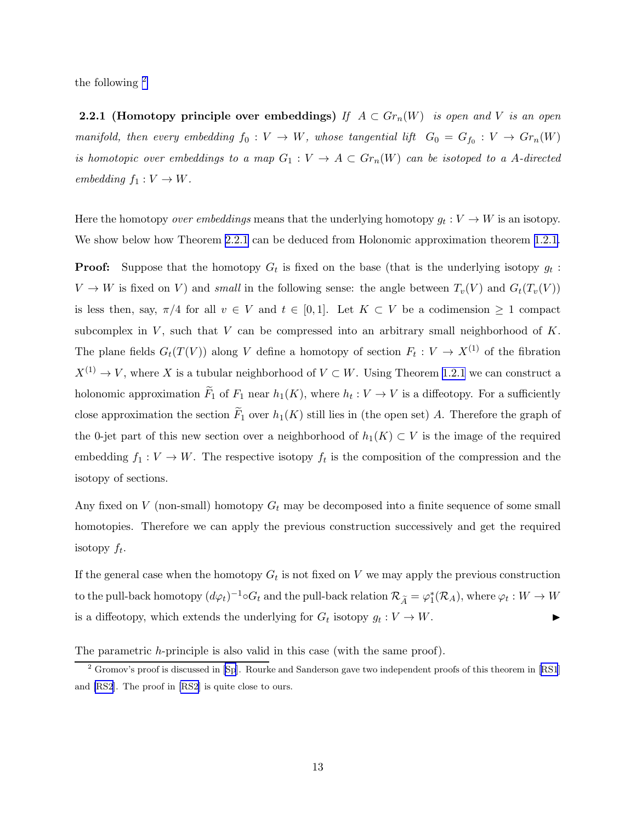<span id="page-12-0"></span>the following <sup>2</sup>

**2.2.1** (Homotopy principle over embeddings) If  $A \subset Gr_n(W)$  is open and V is an open manifold, then every embedding  $f_0: V \to W$ , whose tangential lift  $G_0 = G_{f_0} : V \to Gr_n(W)$ is homotopic over embeddings to a map  $G_1 : V \to A \subset Gr_n(W)$  can be isotoped to a A-directed embedding  $f_1: V \to W$ .

Here the homotopy *over embeddings* means that the underlying homotopy  $g_t: V \to W$  is an isotopy. We show below how Theorem 2.2.1 can be deduced from Holonomic approximation theorem [1.2.1.](#page-2-0)

**Proof:** Suppose that the homotopy  $G_t$  is fixed on the base (that is the underlying isotopy  $g_t$ :  $V \to W$  is fixed on V) and small in the following sense: the angle between  $T_v(V)$  and  $G_t(T_v(V))$ is less then, say,  $\pi/4$  for all  $v \in V$  and  $t \in [0,1]$ . Let  $K \subset V$  be a codimension  $\geq 1$  compact subcomplex in  $V$ , such that  $V$  can be compressed into an arbitrary small neighborhood of  $K$ . The plane fields  $G_t(T(V))$  along V define a homotopy of section  $F_t: V \to X^{(1)}$  of the fibration  $X^{(1)} \to V$ , where X is a tubular neighborhood of  $V \subset W$ . Using Theorem [1.2.1](#page-2-0) we can construct a holonomic approximation  $F_1$  of  $F_1$  near  $h_1(K)$ , where  $h_t: V \to V$  is a diffeotopy. For a sufficiently close approximation the section  $\widetilde{F}_1$  over  $h_1(K)$  still lies in (the open set) A. Therefore the graph of the 0-jet part of this new section over a neighborhood of  $h_1(K) \subset V$  is the image of the required embedding  $f_1: V \to W$ . The respective isotopy  $f_t$  is the composition of the compression and the isotopy of sections.

Any fixed on V (non-small) homotopy  $G_t$  may be decomposed into a finite sequence of some small homotopies. Therefore we can apply the previous construction successively and get the required isotopy  $f_t$ .

If the general case when the homotopy  $G_t$  is not fixed on V we may apply the previous construction to the pull-back homotopy  $(d\varphi_t)^{-1} \circ G_t$  and the pull-back relation  $\mathcal{R}_{\widetilde{A}} = \varphi_1^*$  $j^*_1(\mathcal{R}_A)$ , where  $\varphi_t: W \to W$ is a diffeotopy, which extends the underlying for  $G_t$  isotopy  $g_t: V \to W$ .

The parametric *h*-principle is also valid in this case (with the same proof).

<sup>&</sup>lt;sup>2</sup> Gromov's proof is discussed in [\[Sp](#page-14-0)].Rourke and Sanderson gave two independent proofs of this theorem in [[RS1](#page-14-0)] and [\[RS2\]](#page-14-0). The proof in [\[RS2](#page-14-0)] is quite close to ours.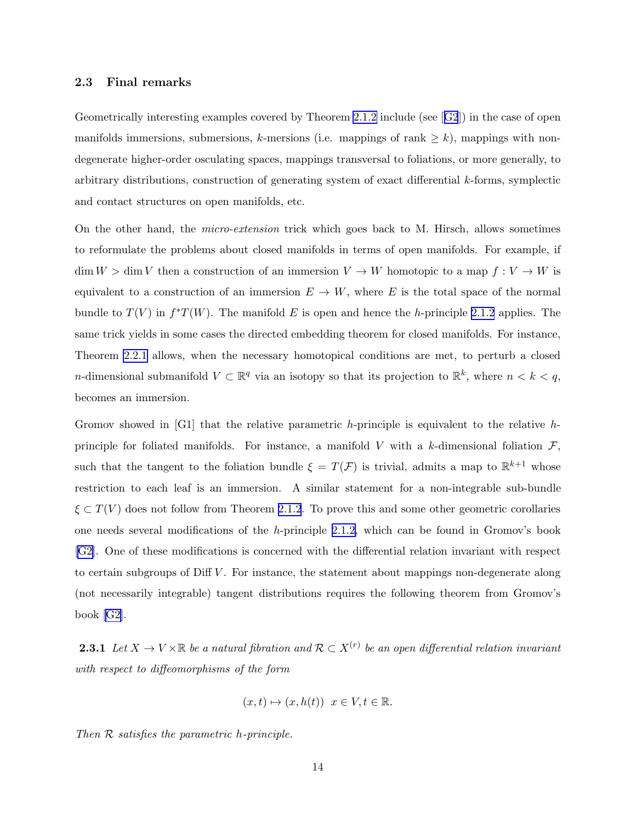#### <span id="page-13-0"></span>2.3 Final remarks

Geometrically interesting examples covered by Theorem [2.1.2](#page-10-0) include (see[[G2](#page-14-0)]) in the case of open manifolds immersions, submersions, k-mersions (i.e. mappings of rank  $\geq k$ ), mappings with nondegenerate higher-order osculating spaces, mappings transversal to foliations, or more generally, to arbitrary distributions, construction of generating system of exact differential k-forms, symplectic and contact structures on open manifolds, etc.

On the other hand, the micro-extension trick which goes back to M. Hirsch, allows sometimes to reformulate the problems about closed manifolds in terms of open manifolds. For example, if  $\dim W > \dim V$  then a construction of an immersion  $V \to W$  homotopic to a map  $f: V \to W$  is equivalent to a construction of an immersion  $E \to W$ , where E is the total space of the normal bundle to  $T(V)$  in  $f^*T(W)$ . The manifold E is open and hence the h-principle [2.1.2](#page-10-0) applies. The same trick yields in some cases the directed embedding theorem for closed manifolds. For instance, Theorem [2.2.1](#page-12-0) allows, when the necessary homotopical conditions are met, to perturb a closed *n*-dimensional submanifold  $V \subset \mathbb{R}^q$  via an isotopy so that its projection to  $\mathbb{R}^k$ , where  $n < k < q$ , becomes an immersion.

Gromov showed in [G1] that the relative parametric h-principle is equivalent to the relative hprinciple for foliated manifolds. For instance, a manifold V with a k-dimensional foliation  $\mathcal{F}$ , such that the tangent to the foliation bundle  $\xi = T(\mathcal{F})$  is trivial, admits a map to  $\mathbb{R}^{k+1}$  whose restriction to each leaf is an immersion. A similar statement for a non-integrable sub-bundle  $\xi \subset T(V)$  does not follow from Theorem [2.1.2](#page-10-0). To prove this and some other geometric corollaries one needs several modifications of the h-principle [2.1.2,](#page-10-0) which can be found in Gromov's book [\[G2](#page-14-0)]. One of these modifications is concerned with the differential relation invariant with respect to certain subgroups of Diff  $V$ . For instance, the statement about mappings non-degenerate along (not necessarily integrable) tangent distributions requires the following theorem from Gromov's book [\[G2](#page-14-0)].

**2.3.1** Let  $X \to V \times \mathbb{R}$  be a natural fibration and  $\mathcal{R} \subset X^{(r)}$  be an open differential relation invariant with respect to diffeomorphisms of the form

$$
(x,t)\mapsto(x,h(t))\ \ x\in V, t\in\mathbb{R}.
$$

Then R satisfies the parametric h-principle.